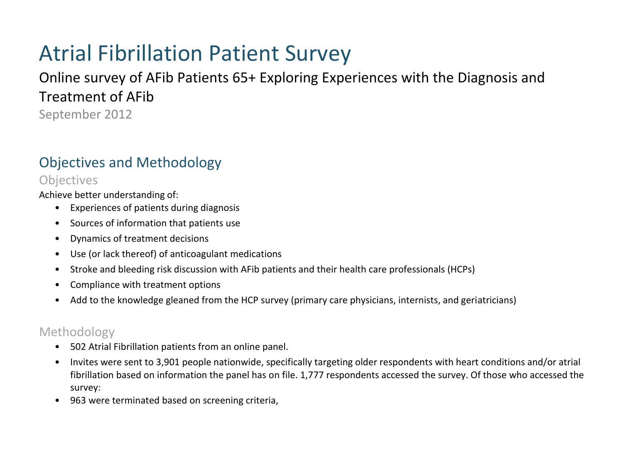# Atrial Fibrillation Patient Survey

## Online survey of AFib Patients 65+ Exploring Experiences with the Diagnosis and Treatment of AFib

September 2012

## Objectives and Methodology

#### **Objectives**

Achieve better understanding of:

- Experiences of patients during diagnosis
- Sources of information that patients use
- Dynamics of treatment decisions
- Use (or lack thereof) of anticoagulant medications
- Stroke and bleeding risk discussion with AFib patients and their health care professionals (HCPs)
- Compliance with treatment options
- Add to the knowledge gleaned from the HCP survey (primary care physicians, internists, and geriatricians)

#### Methodology

- 502 Atrial Fibrillation patients from an online panel.
- Invites were sent to 3,901 people nationwide, specifically targeting older respondents with heart conditions and/or atrial fibrillation based on information the panel has on file. 1,777 respondents accessed the survey. Of those who accessed the survey:
- 963 were terminated based on screening criteria,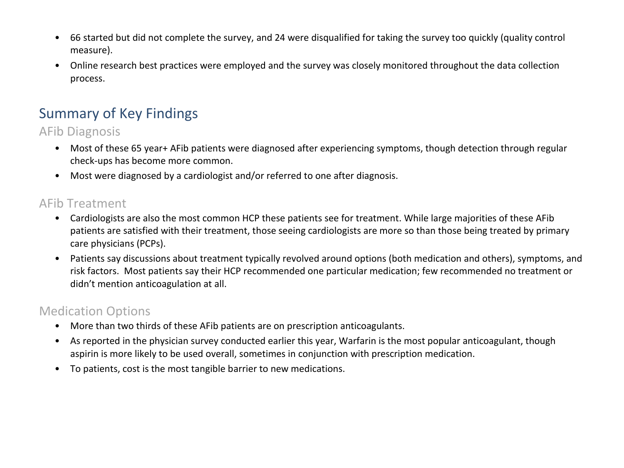- 66 started but did not complete the survey, and 24 were disqualified for taking the survey too quickly (quality control measure).
- Online research best practices were employed and the survey was closely monitored throughout the data collection process.

## Summary of Key Findings

AFib Diagnosis

- Most of these 65 year+ AFib patients were diagnosed after experiencing symptoms, though detection through regular check-ups has become more common.
- Most were diagnosed by a cardiologist and/or referred to one after diagnosis.

#### AFib Treatment

- Cardiologists are also the most common HCP these patients see for treatment. While large majorities of these AFib patients are satisfied with their treatment, those seeing cardiologists are more so than those being treated by primary care physicians (PCPs).
- Patients say discussions about treatment typically revolved around options (both medication and others), symptoms, and risk factors. Most patients say their HCP recommended one particular medication; few recommended no treatment or didn't mention anticoagulation at all.

#### Medication Options

- More than two thirds of these AFib patients are on prescription anticoagulants.
- As reported in the physician survey conducted earlier this year, Warfarin is the most popular anticoagulant, though aspirin is more likely to be used overall, sometimes in conjunction with prescription medication.
- To patients, cost is the most tangible barrier to new medications.